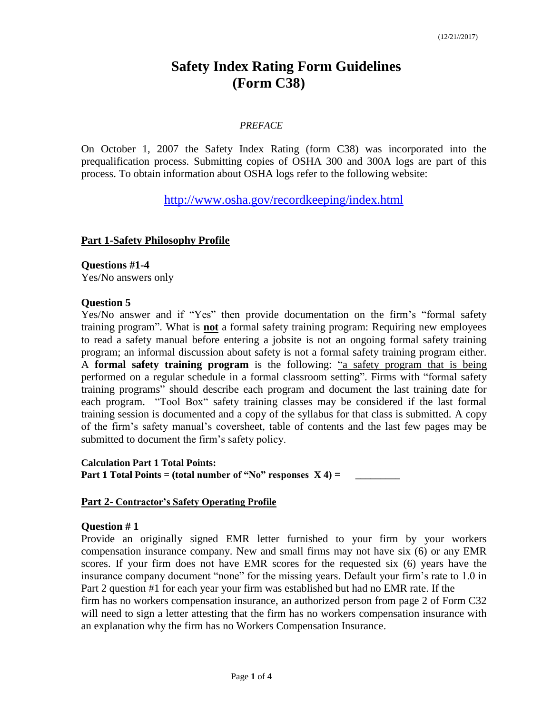# **Safety Index Rating Form Guidelines (Form C38)**

#### *PREFACE*

On October 1, 2007 the Safety Index Rating (form C38) was incorporated into the prequalification process. Submitting copies of OSHA 300 and 300A logs are part of this process. To obtain information about OSHA logs refer to the following website:

<http://www.osha.gov/recordkeeping/index.html>

#### **Part 1-Safety Philosophy Profile**

**Questions #1-4** Yes/No answers only

#### **Question 5**

Yes/No answer and if "Yes" then provide documentation on the firm's "formal safety training program". What is **not** a formal safety training program: Requiring new employees to read a safety manual before entering a jobsite is not an ongoing formal safety training program; an informal discussion about safety is not a formal safety training program either. A **formal safety training program** is the following: "a safety program that is being performed on a regular schedule in a formal classroom setting". Firms with "formal safety training programs" should describe each program and document the last training date for each program. "Tool Box" safety training classes may be considered if the last formal training session is documented and a copy of the syllabus for that class is submitted. A copy of the firm's safety manual's coversheet, table of contents and the last few pages may be submitted to document the firm's safety policy.

**Calculation Part 1 Total Points: Part 1 Total Points = (total number of "No" responses**  $X$  **4) =** 

#### **Part 2- Contractor's Safety Operating Profile**

#### **Question # 1**

Provide an originally signed EMR letter furnished to your firm by your workers compensation insurance company. New and small firms may not have six (6) or any EMR scores. If your firm does not have EMR scores for the requested six (6) years have the insurance company document "none" for the missing years. Default your firm's rate to 1.0 in Part 2 question #1 for each year your firm was established but had no EMR rate. If the

firm has no workers compensation insurance, an authorized person from page 2 of Form C32 will need to sign a letter attesting that the firm has no workers compensation insurance with an explanation why the firm has no Workers Compensation Insurance.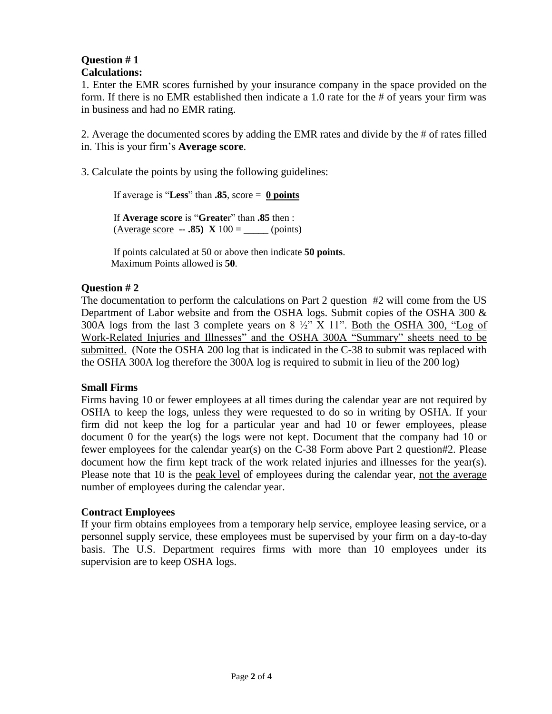### **Question # 1 Calculations:**

1. Enter the EMR scores furnished by your insurance company in the space provided on the form. If there is no EMR established then indicate a 1.0 rate for the # of years your firm was in business and had no EMR rating.

2. Average the documented scores by adding the EMR rates and divide by the # of rates filled in. This is your firm's **Average score**.

3. Calculate the points by using the following guidelines:

If average is "**Less**" than **.85**, score = **0 points**

If **Average score** is "**Greate**r" than **.85** then :  $(Average score - .85) X 100 =$  (points)

If points calculated at 50 or above then indicate **50 points**. Maximum Points allowed is **50**.

## **Question # 2**

The documentation to perform the calculations on Part 2 question #2 will come from the US Department of Labor website and from the OSHA logs. Submit copies of the OSHA 300  $\&$ 300A logs from the last 3 complete years on  $8\frac{1}{2}$  X 11". Both the OSHA 300, "Log of Work-Related Injuries and Illnesses" and the OSHA 300A "Summary" sheets need to be submitted. (Note the OSHA 200 log that is indicated in the C-38 to submit was replaced with the OSHA 300A log therefore the 300A log is required to submit in lieu of the 200 log)

#### **Small Firms**

Firms having 10 or fewer employees at all times during the calendar year are not required by OSHA to keep the logs, unless they were requested to do so in writing by OSHA. If your firm did not keep the log for a particular year and had 10 or fewer employees, please document 0 for the year(s) the logs were not kept. Document that the company had 10 or fewer employees for the calendar year(s) on the C-38 Form above Part 2 question#2. Please document how the firm kept track of the work related injuries and illnesses for the year(s). Please note that 10 is the peak level of employees during the calendar year, not the average number of employees during the calendar year.

#### **Contract Employees**

If your firm obtains employees from a temporary help service, employee leasing service, or a personnel supply service, these employees must be supervised by your firm on a day-to-day basis. The U.S. Department requires firms with more than 10 employees under its supervision are to keep OSHA logs.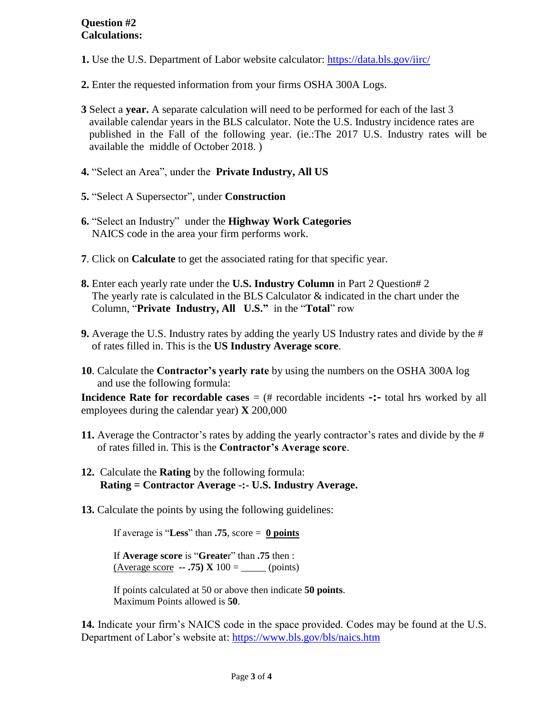- **1.** Use the U.S. Department of Labor website calculator:<https://data.bls.gov/iirc/>
- **2.** Enter the requested information from your firms OSHA 300A Logs.
- **3** Select a **year.** A separate calculation will need to be performed for each of the last 3 available calendar years in the BLS calculator. Note the U.S. Industry incidence rates are published in the Fall of the following year. (ie.:The 2017 U.S. Industry rates will be available the middle of October 2018. )
- **4.** "Select an Area", under the **Private Industry, All US**
- **5.** "Select A Supersector", under **Construction**
- **6.** "Select an Industry" under the **Highway Work Categories** NAICS code in the area your firm performs work.
- **7**. Click on **Calculate** to get the associated rating for that specific year.
- **8.** Enter each yearly rate under the **U.S. Industry Column** in Part 2 Question# 2 The yearly rate is calculated in the BLS Calculator & indicated in the chart under the Column, "**Private Industry, All U.S."** in the "**Total**" row
- **9.** Average the U.S. Industry rates by adding the yearly US Industry rates and divide by the # of rates filled in. This is the **US Industry Average score**.
- **10**. Calculate the **Contractor's yearly rate** by using the numbers on the OSHA 300A log and use the following formula:

**Incidence Rate for recordable cases** = (# recordable incidents **-:** total hrs worked by all employees during the calendar year) **X** 200,000

- **11.** Average the Contractor's rates by adding the yearly contractor's rates and divide by the # of rates filled in. This is the **Contractor's Average score**.
- **12.** Calculate the **Rating** by the following formula: **Rating = Contractor Average -:- U.S. Industry Average.**
- **13.** Calculate the points by using the following guidelines:

If average is "**Less**" than **.75**, score = **0 points**

If **Average score** is "**Greate**r" than **.75** then :  $(Average score - .75) X 100 =$  \_\_\_\_\_\_\_ (points)

If points calculated at 50 or above then indicate **50 points**. Maximum Points allowed is **50**.

**14.** Indicate your firm's NAICS code in the space provided. Codes may be found at the U.S. Department of Labor's website at: <https://www.bls.gov/bls/naics.htm>